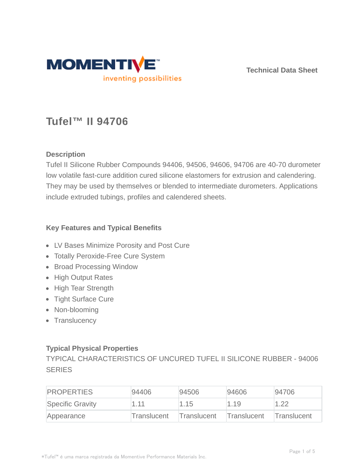

**Technical Data Sheet**

# **Tufel™ II 94706**

## **Description**

Tufel II Silicone Rubber Compounds 94406, 94506, 94606, 94706 are 40-70 durometer low volatile fast-cure addition cured silicone elastomers for extrusion and calendering. They may be used by themselves or blended to intermediate durometers. Applications include extruded tubings, profiles and calendered sheets.

### **Key Features and Typical Benefits**

- LV Bases Minimize Porosity and Post Cure
- Totally Peroxide-Free Cure System
- Broad Processing Window
- High Output Rates
- High Tear Strength
- Tight Surface Cure
- Non-blooming
- Translucency

### **Typical Physical Properties**

TYPICAL CHARACTERISTICS OF UNCURED TUFEL II SILICONE RUBBER - 94006 **SERIES** 

| <b>PROPERTIES</b> | 94406       | 94506              | 94606       | 94706       |
|-------------------|-------------|--------------------|-------------|-------------|
| Specific Gravity  | 1.11        | 1.15               | 1.19        | 1.22        |
| Appearance        | Translucent | <b>Translucent</b> | Translucent | Translucent |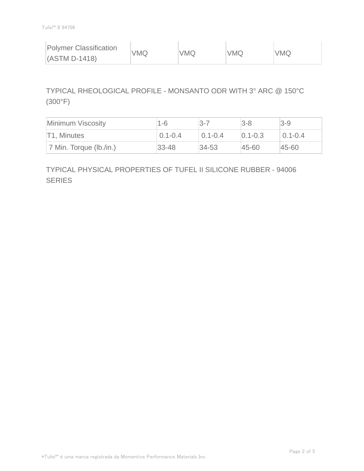| <b>Polymer Classification</b> | VMQ | <b>VMQ</b> | <b>VMQ</b> | <b>VMQ</b> |
|-------------------------------|-----|------------|------------|------------|
| $(ASTM D-1418)$               |     |            |            |            |

# TYPICAL RHEOLOGICAL PROFILE - MONSANTO ODR WITH 3° ARC @ 150°C (300°F)

| Minimum Viscosity       | 1-6         | l3-7        | $3 - 8$       | $ 3-9 $     |
|-------------------------|-------------|-------------|---------------|-------------|
| T1, Minutes             | $0.1 - 0.4$ | $0.1 - 0.4$ | $ 0.1 - 0.3 $ | $0.1 - 0.4$ |
| 7 Min. Torque (lb./in.) | $33 - 48$   | $ 34-53 $   | $ 45 - 60 $   | 45-60       |

# TYPICAL PHYSICAL PROPERTIES OF TUFEL II SILICONE RUBBER - 94006 **SERIES**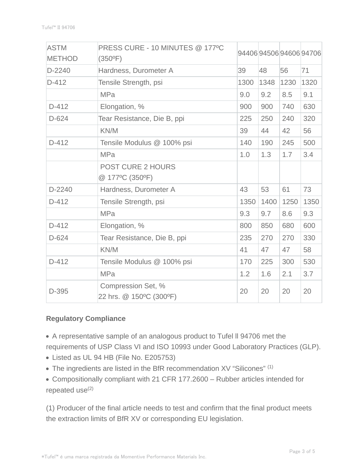| <b>ASTM</b>   | PRESS CURE - 10 MINUTES @ 177°C               |      |      |      | 94406945069460694706 |
|---------------|-----------------------------------------------|------|------|------|----------------------|
| <b>METHOD</b> | $(350^{\circ}F)$                              |      |      |      |                      |
| D-2240        | Hardness, Durometer A                         | 39   | 48   | 56   | 71                   |
| $D-412$       | Tensile Strength, psi                         | 1300 | 1348 | 1230 | 1320                 |
|               | <b>MPa</b>                                    | 9.0  | 9.2  | 8.5  | 9.1                  |
| $D-412$       | Elongation, %                                 | 900  | 900  | 740  | 630                  |
| D-624         | Tear Resistance, Die B, ppi                   | 225  | 250  | 240  | 320                  |
|               | KN/M                                          | 39   | 44   | 42   | 56                   |
| $D-412$       | Tensile Modulus @ 100% psi                    | 140  | 190  | 245  | 500                  |
|               | <b>MPa</b>                                    | 1.0  | 1.3  | 1.7  | 3.4                  |
|               | <b>POST CURE 2 HOURS</b>                      |      |      |      |                      |
|               | @ 177°C (350°F)                               |      |      |      |                      |
| D-2240        | Hardness, Durometer A                         | 43   | 53   | 61   | 73                   |
| $D-412$       | Tensile Strength, psi                         | 1350 | 1400 | 1250 | 1350                 |
|               | <b>MPa</b>                                    | 9.3  | 9.7  | 8.6  | 9.3                  |
| $D-412$       | Elongation, %                                 | 800  | 850  | 680  | 600                  |
| $D-624$       | Tear Resistance, Die B, ppi                   | 235  | 270  | 270  | 330                  |
|               | KN/M                                          | 41   | 47   | 47   | 58                   |
| $D-412$       | Tensile Modulus @ 100% psi                    | 170  | 225  | 300  | 530                  |
|               | <b>MPa</b>                                    | 1.2  | 1.6  | 2.1  | 3.7                  |
| D-395         | Compression Set, %<br>22 hrs. @ 150°C (300°F) | 20   | 20   | 20   | 20                   |

### **Regulatory Compliance**

A representative sample of an analogous product to Tufel ll 94706 met the requirements of USP Class VI and ISO 10993 under Good Laboratory Practices (GLP).

- Listed as UL 94 HB (File No. E205753)
- The ingredients are listed in the BfR recommendation XV "Silicones" (1)
- Compositionally compliant with 21 CFR 177.2600 Rubber articles intended for repeated  $use^{(2)}$

(1) Producer of the final article needs to test and confirm that the final product meets the extraction limits of BfR XV or corresponding EU legislation.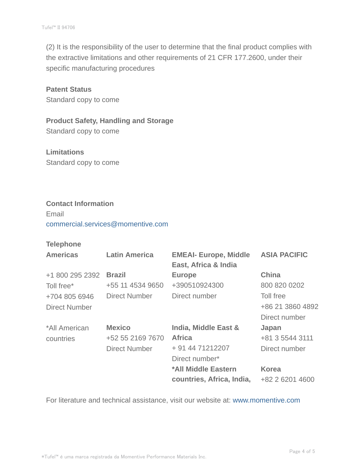(2) It is the responsibility of the user to determine that the final product complies with the extractive limitations and other requirements of 21 CFR 177.2600, under their specific manufacturing procedures

## **Patent Status**

Standard copy to come

#### **Product Safety, Handling and Storage**

Standard copy to come

## **Limitations** Standard copy to come

#### **Contact Information**

Email commercial.services@momentive.com

#### **Telephone**

| <b>Americas</b> | <b>Latin America</b> | <b>EMEAI- Europe, Middle</b><br>East, Africa & India | <b>ASIA PACIFIC</b> |
|-----------------|----------------------|------------------------------------------------------|---------------------|
| +1 800 295 2392 | <b>Brazil</b>        | <b>Europe</b>                                        | <b>China</b>        |
| Toll free*      | +55 11 4534 9650     | +390510924300                                        | 800 820 0202        |
| +704 805 6946   | Direct Number        | Direct number                                        | Toll free           |
| Direct Number   |                      |                                                      | +86 21 3860 4892    |
|                 |                      |                                                      | Direct number       |
| *All American   | <b>Mexico</b>        | India, Middle East &                                 | Japan               |
| countries       | +52 55 2169 7670     | <b>Africa</b>                                        | +81 3 5544 3111     |
|                 | <b>Direct Number</b> | + 91 44 71212207                                     | Direct number       |
|                 |                      | Direct number*                                       |                     |
|                 |                      | *All Middle Eastern                                  | <b>Korea</b>        |
|                 |                      | countries, Africa, India,                            | +82 2 6201 4600     |

For literature and technical assistance, visit our website at: www.momentive.com